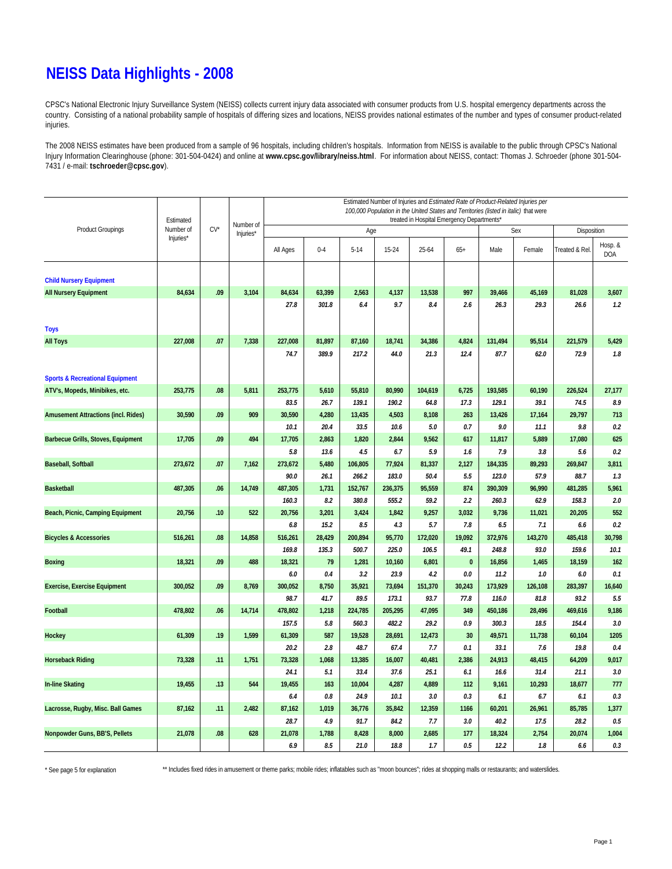### **NEISS Data Highlights - 2008**

CPSC's National Electronic Injury Surveillance System (NEISS) collects current injury data associated with consumer products from U.S. hospital emergency departments across the country. Consisting of a national probability sample of hospitals of differing sizes and locations, NEISS provides national estimates of the number and types of consumer product-related injuries.

The 2008 NEISS estimates have been produced from a sample of 96 hospitals, including children's hospitals. Information from NEISS is available to the public through CPSC's National Injury Information Clearinghouse (phone: 301-504-0424) and online at **www.cpsc.gov/library/neiss.html**. For information about NEISS, contact: Thomas J. Schroeder (phone 301-504- 7431 / e-mail: **tschroeder@cpsc.gov**).

|                                            | Estimated | $CV^*$ | Number of<br>Injuries* | Estimated Number of Injuries and Estimated Rate of Product-Related Injuries per<br>100,000 Population in the United States and Territories (listed in italic) that were<br>treated in Hospital Emergency Departments* |            |                |               |               |            |               |               |                |                       |  |  |
|--------------------------------------------|-----------|--------|------------------------|-----------------------------------------------------------------------------------------------------------------------------------------------------------------------------------------------------------------------|------------|----------------|---------------|---------------|------------|---------------|---------------|----------------|-----------------------|--|--|
| <b>Product Groupings</b>                   | Number of |        |                        | Age                                                                                                                                                                                                                   |            |                |               |               |            |               | Sex           | Disposition    |                       |  |  |
|                                            | Injuries* |        |                        | All Ages                                                                                                                                                                                                              | $0 - 4$    | $5 - 14$       | 15-24         | 25-64         | $65+$      | Male          | Female        | Treated & Rel. | Hosp. &<br><b>DOA</b> |  |  |
| <b>Child Nursery Equipment</b>             |           |        |                        |                                                                                                                                                                                                                       |            |                |               |               |            |               |               |                |                       |  |  |
| <b>All Nursery Equipment</b>               | 84,634    | .09    | 3,104                  | 84,634                                                                                                                                                                                                                | 63,399     | 2,563          | 4,137         | 13,538        | 997        | 39,466        | 45,169        | 81,028         | 3,607                 |  |  |
|                                            |           |        |                        | 27.8                                                                                                                                                                                                                  | 301.8      | 6.4            | 9.7           | 8.4           | 2.6        | 26.3          | 29.3          | 26.6           | 1.2                   |  |  |
| <b>Toys</b>                                |           |        |                        |                                                                                                                                                                                                                       |            |                |               |               |            |               |               |                |                       |  |  |
| <b>All Toys</b>                            | 227,008   | .07    | 7,338                  | 227,008                                                                                                                                                                                                               | 81,897     | 87,160         | 18,741        | 34,386        | 4,824      | 131,494       | 95,514        | 221,579        | 5,429                 |  |  |
|                                            |           |        |                        | 74.7                                                                                                                                                                                                                  | 389.9      | 217.2          | 44.0          | 21.3          | 12.4       | 87.7          | 62.0          | 72.9           | $1.8\,$               |  |  |
| <b>Sports &amp; Recreational Equipment</b> |           |        |                        |                                                                                                                                                                                                                       |            |                |               |               |            |               |               |                |                       |  |  |
| ATV's, Mopeds, Minibikes, etc.             | 253,775   | .08    | 5,811                  | 253,775                                                                                                                                                                                                               | 5,610      | 55,810         | 80,990        | 104,619       | 6,725      | 193,585       | 60,190        | 226,524        | 27,177                |  |  |
|                                            |           |        |                        | 83.5                                                                                                                                                                                                                  | 26.7       | 139.1          | 190.2         | 64.8          | 17.3       | 129.1         | 39.1          | 74.5           | 8.9                   |  |  |
| <b>Amusement Attractions (incl. Rides)</b> | 30,590    | .09    | 909                    | 30,590                                                                                                                                                                                                                | 4,280      | 13,435         | 4,503         | 8,108         | 263        | 13,426        | 17,164        | 29,797         | 713                   |  |  |
|                                            |           |        |                        | 10.1                                                                                                                                                                                                                  | 20.4       | 33.5           | 10.6          | 5.0           | 0.7        | 9.0           | 11.1          | 9.8            | 0.2                   |  |  |
| <b>Barbecue Grills, Stoves, Equipment</b>  | 17,705    | .09    | 494                    | 17,705                                                                                                                                                                                                                | 2,863      | 1,820          | 2,844         | 9,562         | 617        | 11,817        | 5,889         | 17,080         | 625                   |  |  |
|                                            |           |        |                        | 5.8                                                                                                                                                                                                                   | 13.6       | 4.5            | 6.7           | 5.9           | 1.6        | 7.9           | 3.8           | 5.6            | 0.2                   |  |  |
| <b>Baseball, Softball</b>                  | 273,672   | .07    | 7,162                  | 273,672                                                                                                                                                                                                               | 5,480      | 106,805        | 77,924        | 81,337        | 2,127      | 184,335       | 89,293        | 269,847        | 3,811                 |  |  |
|                                            |           |        |                        | 90.0                                                                                                                                                                                                                  | 26.1       | 266.2          | 183.0         | 50.4          | 5.5        | 123.0         | 57.9          | 88.7           | 1.3                   |  |  |
| <b>Basketball</b>                          | 487,305   | .06    | 14,749                 | 487,305                                                                                                                                                                                                               | 1,731      | 152,767        | 236,375       | 95,559        | 874        | 390,309       | 96,990        | 481,285        | 5,961                 |  |  |
|                                            |           |        |                        | 160.3                                                                                                                                                                                                                 | 8.2        | 380.8          | 555.2         | 59.2          | 2.2        | 260.3         | 62.9          | 158.3          | 2.0                   |  |  |
| Beach, Picnic, Camping Equipment           | 20,756    | .10    | 522                    | 20,756                                                                                                                                                                                                                | 3,201      | 3,424          | 1,842         | 9,257         | 3,032      | 9,736         | 11,021        | 20,205         | 552                   |  |  |
|                                            |           |        |                        | 6.8                                                                                                                                                                                                                   | 15.2       | 8.5            | 4.3           | 5.7           | 7.8        | 6.5           | 7.1           | 6.6            | 0.2                   |  |  |
| <b>Bicycles &amp; Accessories</b>          | 516,261   | .08    | 14,858                 | 516,261                                                                                                                                                                                                               | 28,429     | 200,894        | 95,770        | 172,020       | 19,092     | 372,976       | 143,270       | 485,418        | 30,798                |  |  |
|                                            |           |        |                        | 169.8                                                                                                                                                                                                                 | 135.3      | 500.7          | 225.0         | 106.5         | 49.1       | 248.8         | 93.0          | 159.6          | 10.1                  |  |  |
| <b>Boxing</b>                              | 18,321    | .09    | 488                    | 18,321                                                                                                                                                                                                                | 79         | 1,281          | 10,160        | 6,801         | $\pmb{0}$  | 16,856        | 1,465         | 18,159         | 162                   |  |  |
|                                            |           |        |                        | 6.0                                                                                                                                                                                                                   | 0.4        | 3.2            | 23.9          | 4.2           | 0.0        | 11.2          | 1.0           | 6.0            | 0.1                   |  |  |
| <b>Exercise, Exercise Equipment</b>        | 300,052   | .09    | 8,769                  | 300,052                                                                                                                                                                                                               | 8,750      | 35,921         | 73,694        | 151,370       | 30,243     | 173,929       | 126,108       | 283,397        | 16,640                |  |  |
|                                            |           |        |                        | 98.7                                                                                                                                                                                                                  | 41.7       | 89.5           | 173.1         | 93.7          | 77.8       | 116.0         | 81.8          | 93.2           | $5.5\,$               |  |  |
| Football                                   | 478,802   | .06    | 14,714                 | 478,802                                                                                                                                                                                                               | 1,218      | 224,785        | 205,295       | 47,095        | 349        | 450,186       | 28,496        | 469,616        | 9,186                 |  |  |
|                                            |           |        |                        | 157.5                                                                                                                                                                                                                 | 5.8        | 560.3          | 482.2         | 29.2          | 0.9        | 300.3         | 18.5          | 154.4          | $3.0\,$               |  |  |
| Hockey                                     | 61,309    | .19    | 1,599                  | 61,309                                                                                                                                                                                                                | 587        | 19,528         | 28,691        | 12,473        | 30         | 49,571        | 11,738        | 60,104         | 1205                  |  |  |
|                                            |           |        |                        | 20.2                                                                                                                                                                                                                  | 2.8        | 48.7           | 67.4          | 7.7           | 0.1        | 33.1          | 7.6           | 19.8           | 0.4                   |  |  |
| <b>Horseback Riding</b>                    | 73,328    | .11    | 1,751                  | 73,328                                                                                                                                                                                                                | 1,068      | 13,385         | 16,007        | 40,481        | 2,386      | 24,913        | 48,415        | 64,209         | 9,017                 |  |  |
|                                            |           |        | 544                    | 24.1                                                                                                                                                                                                                  | 5.1        | 33.4           | 37.6          | 25.1          | 6.1        | 16.6          | 31.4          | 21.1           | $3.0\,$<br>777        |  |  |
| <b>In-line Skating</b>                     | 19,455    | .13    |                        | 19,455                                                                                                                                                                                                                | 163<br>0.8 | 10,004<br>24.9 | 4,287<br>10.1 | 4,889         | 112<br>0.3 | 9,161         | 10,293        | 18,677         | 0.3                   |  |  |
| Lacrosse, Rugby, Misc. Ball Games          | 87,162    | .11    | 2,482                  | 6.4<br>87,162                                                                                                                                                                                                         | 1,019      | 36,776         | 35,842        | 3.0<br>12,359 | 1166       | 6.1<br>60,201 | 6.7<br>26,961 | 6.1<br>85,785  | 1,377                 |  |  |
|                                            |           |        |                        | 28.7                                                                                                                                                                                                                  | 4.9        | 91.7           | 84.2          | 7.7           | 3.0        | 40.2          | 17.5          | 28.2           | 0.5                   |  |  |
| Nonpowder Guns, BB'S, Pellets              | 21,078    | .08    | 628                    | 21,078                                                                                                                                                                                                                | 1,788      | 8,428          | 8,000         | 2,685         | 177        | 18,324        | 2,754         | 20,074         | 1,004                 |  |  |
|                                            |           |        |                        | 6.9                                                                                                                                                                                                                   | 8.5        | 21.0           | 18.8          | 1.7           | 0.5        | 12.2          | 1.8           | 6.6            | 0.3                   |  |  |

\* See page 5 for explanation

\*\* Includes fixed rides in amusement or theme parks; mobile rides; inflatables such as "moon bounces"; rides at shopping malls or restaurants; and waterslides.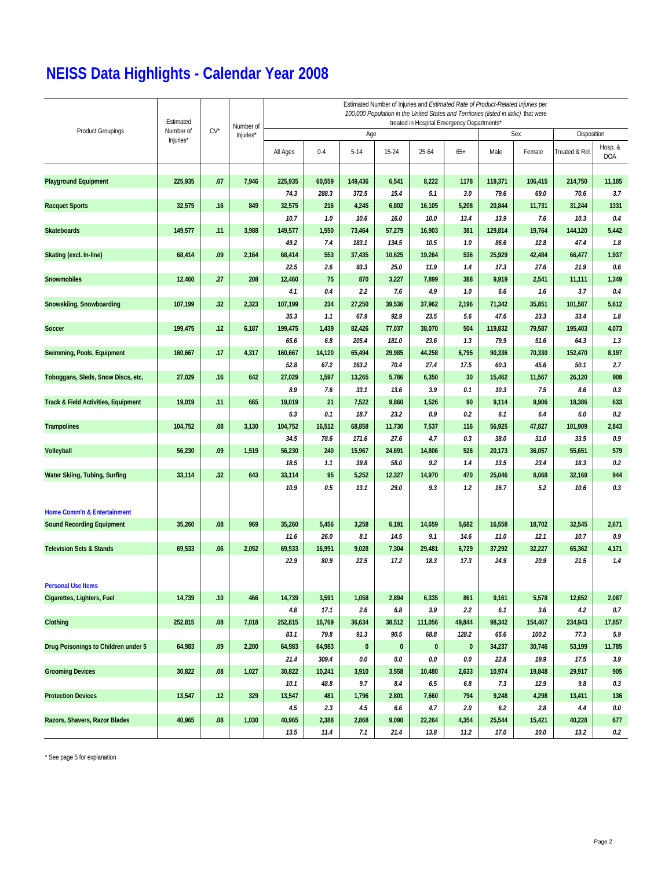|                                                | Estimated<br>Number of<br>Injuries* |        | Number of<br>Injuries* | Estimated Number of Injuries and Estimated Rate of Product-Related Injuries per<br>100,000 Population in the United States and Territories (listed in italic) that were<br>treated in Hospital Emergency Departments* |                 |              |                |               |                    |               |                |                |                |  |  |
|------------------------------------------------|-------------------------------------|--------|------------------------|-----------------------------------------------------------------------------------------------------------------------------------------------------------------------------------------------------------------------|-----------------|--------------|----------------|---------------|--------------------|---------------|----------------|----------------|----------------|--|--|
| <b>Product Groupings</b>                       |                                     | $CV^*$ |                        |                                                                                                                                                                                                                       |                 | Age          |                |               | Sex                | Disposition   |                |                |                |  |  |
|                                                |                                     |        |                        | All Ages                                                                                                                                                                                                              | $0 - 4$         | $5-14$       | $15 - 24$      | 25-64         | $65+$              | Male          | Female         | Treated & Rel. | Hosp. &<br>DOA |  |  |
|                                                |                                     |        |                        |                                                                                                                                                                                                                       |                 |              |                |               |                    |               |                |                |                |  |  |
| <b>Playground Equipment</b>                    | 225,935                             | .07    | 7,946                  | 225,935                                                                                                                                                                                                               | 60,559          | 149,436      | 6,541          | 8,222         | 1178               | 119,371       | 106,415        | 214,750        | 11,185         |  |  |
|                                                |                                     |        |                        | 74.3                                                                                                                                                                                                                  | 288.3           | 372.5        | 15.4           | 5.1           | 3.0                | 79.6          | 69.0           | 70.6           | 3.7            |  |  |
| <b>Racquet Sports</b>                          | 32,575                              | .16    | 849                    | 32,575                                                                                                                                                                                                                | 216             | 4,245        | 6,802          | 16,105        | 5,208              | 20,844        | 11,731         | 31,244         | 1331           |  |  |
|                                                |                                     |        |                        | 10.7                                                                                                                                                                                                                  | 1.0             | 10.6         | 16.0           | 10.0          | 13.4               | 13.9          | 7.6            | 10.3           | 0.4            |  |  |
| <b>Skateboards</b>                             | 149,577                             | .11    | 3,988                  | 149,577                                                                                                                                                                                                               | 1,550           | 73,464       | 57,279         | 16,903        | 381                | 129,814       | 19,764         | 144,120        | 5,442          |  |  |
|                                                |                                     |        |                        | 49.2                                                                                                                                                                                                                  | 7.4             | 183.1        | 134.5          | 10.5          | 1.0                | 86.6          | 12.8           | 47.4           | $1.8\,$        |  |  |
| Skating (excl. In-line)                        | 68,414                              | .09    | 2,164                  | 68,414                                                                                                                                                                                                                | 553             | 37,435       | 10,625         | 19,264        | 536                | 25,929        | 42,484         | 66,477         | 1,937          |  |  |
|                                                |                                     |        |                        | 22.5                                                                                                                                                                                                                  | 2.6             | 93.3         | 25.0           | 11.9          | 1.4                | 17.3          | 27.6           | 21.9           | 0.6            |  |  |
| <b>Snowmobiles</b>                             | 12,460                              | .27    | 208                    | 12,460                                                                                                                                                                                                                | 75              | 870          | 3,227          | 7,899         | 388                | 9,919         | 2,541          | 11,111         | 1,349          |  |  |
|                                                |                                     |        |                        | 4.1                                                                                                                                                                                                                   | 0.4             | 2.2          | 7.6            | 4.9           | 1.0                | 6.6           | 1.6            | 3.7            | 0.4            |  |  |
| Snowskiing, Snowboarding                       | 107,199                             | .32    | 2,323                  | 107,199                                                                                                                                                                                                               | 234             | 27,250       | 39,536         | 37,962        | 2,196              | 71,342        | 35,851         | 101,587        | 5,612          |  |  |
|                                                |                                     |        |                        | 35.3                                                                                                                                                                                                                  | 1.1             | 67.9         | 92.9           | 23.5          | 5.6                | 47.6          | 23.3           | 33.4           | 1.8            |  |  |
| <b>Soccer</b>                                  | 199,475                             | .12    | 6,187                  | 199,475                                                                                                                                                                                                               | 1,439           | 82,426       | 77,037         | 38,070        | 504                | 119,832       | 79,587         | 195,403        | 4,073          |  |  |
|                                                |                                     |        |                        | 65.6                                                                                                                                                                                                                  | 6.8             | 205.4        | 181.0          | 23.6          | 1.3                | 79.9          | 51.6           | 64.3           | 1.3            |  |  |
| Swimming, Pools, Equipment                     | 160,667                             | .17    | 4,317                  | 160,667                                                                                                                                                                                                               | 14,120          | 65,494       | 29,985         | 44,258        | 6,795              | 90,336        | 70,330         | 152,470        | 8,197          |  |  |
|                                                |                                     |        |                        | 52.8                                                                                                                                                                                                                  | 67.2            | 163.2        | 70.4           | 27.4          | 17.5               | 60.3          | 45.6           | 50.1           | 2.7            |  |  |
| Toboggans, Sleds, Snow Discs, etc.             | 27,029                              | .16    | 642                    | 27,029                                                                                                                                                                                                                | 1,597           | 13,265       | 5,786          | 6,350         | 30                 | 15,462        | 11,567         | 26,120         | 909            |  |  |
|                                                |                                     |        |                        | 8.9                                                                                                                                                                                                                   | 7.6             | 33.1         | 13.6           | 3.9           | 0.1                | 10.3          | 7.5            | 8.6            | 0.3            |  |  |
| <b>Track &amp; Field Activities, Equipment</b> | 19,019                              | .11    | 665                    | 19,019                                                                                                                                                                                                                | 21              | 7,522        | 9,860          | 1,526         | 90                 | 9,114         | 9,906          | 18,386         | 633            |  |  |
|                                                |                                     |        |                        | 6.3                                                                                                                                                                                                                   | 0.1             | 18.7         | 23.2           | 0.9           | 0.2                | 6.1           | 6.4            | 6.0            | 0.2            |  |  |
| <b>Trampolines</b>                             | 104,752                             | .08    | 3,130                  | 104,752                                                                                                                                                                                                               | 16,512          | 68,858       | 11,730         | 7,537         | 116                | 56,925        | 47,827         | 101,909        | 2,843          |  |  |
|                                                |                                     |        |                        | 34.5                                                                                                                                                                                                                  | 78.6            | 171.6        | 27.6           | 4.7           | 0.3                | 38.0          | 31.0           | 33.5           | 0.9            |  |  |
| Volleyball                                     | 56,230                              | .09    | 1,519                  | 56,230                                                                                                                                                                                                                | 240             | 15,967       | 24,691         | 14,806        | 526                | 20,173        | 36,057         | 55,651         | 579            |  |  |
|                                                |                                     |        |                        | 18.5                                                                                                                                                                                                                  | 1.1             | 39.8         | 58.0           | 9.2           | 1.4                | 13.5          | 23.4           | 18.3           | 0.2            |  |  |
| Water Skiing, Tubing, Surfing                  | 33,114                              | .32    | 643                    | 33,114                                                                                                                                                                                                                | 95              | 5,252        | 12,327         | 14,970        | 470                | 25,046        | 8,068          | 32,169         | 944            |  |  |
|                                                |                                     |        |                        | 10.9                                                                                                                                                                                                                  | 0.5             | 13.1         | 29.0           | 9.3           | 1.2                | 16.7          | 5.2            | 10.6           | 0.3            |  |  |
| <b>Home Comm'n &amp; Entertainment</b>         |                                     |        |                        |                                                                                                                                                                                                                       |                 |              |                |               |                    |               |                |                |                |  |  |
| <b>Sound Recording Equipment</b>               | 35,260                              | .08    | 969                    | 35,260                                                                                                                                                                                                                | 5,456           | 3,258        | 6,191          | 14,659        | 5,682              | 16,558        | 18,702         | 32,545         | 2,671          |  |  |
|                                                |                                     |        |                        | 11.6                                                                                                                                                                                                                  | 26.0            | 8.1          | 14.5           | 9.1           | 14.6               | 11.0          | 12.1           | 10.7           | 0.9            |  |  |
| <b>Television Sets &amp; Stands</b>            | 69,533                              | .06    | 2,052                  | 69,533                                                                                                                                                                                                                | 16,991          | 9,028        | 7,304          | 29,481        | 6,729              | 37,292        | 32,227         | 65,362         | 4,171          |  |  |
|                                                |                                     |        |                        | 22.9                                                                                                                                                                                                                  | 80.9            | 22.5         | 17.2           | 18.3          | 17.3               | 24.9          | 20.9           | 21.5           | 1.4            |  |  |
| <b>Personal Use Items</b>                      |                                     |        |                        |                                                                                                                                                                                                                       |                 |              |                |               |                    |               |                |                |                |  |  |
| Cigarettes, Lighters, Fuel                     | 14,739                              | .10    | 466                    | 14,739                                                                                                                                                                                                                | 3,591           | 1,058        | 2,894          | 6,335         | 861                | 9,161         | 5,578          | 12,652         | 2,087          |  |  |
|                                                |                                     |        |                        | 4.8                                                                                                                                                                                                                   | 17.1            | 2.6          | 6.8            | 3.9           | 2.2                | 6.1           | 3.6            | 4.2            | $0.7\,$        |  |  |
| Clothing                                       | 252,815                             | .08    | 7,018                  | 252,815                                                                                                                                                                                                               | 16,769          | 36,634       | 38,512<br>90.5 | 111,056       | 49,844             | 98,342        | 154,467        | 234,943        | 17,857         |  |  |
|                                                |                                     |        |                        | 83.1                                                                                                                                                                                                                  | 79.8            | 91.3         |                | 68.8          | 128.2<br>$\pmb{0}$ | 65.6          | 100.2          | 77.3           | 5.9            |  |  |
| Drug Poisonings to Children under 5            | 64,983                              | .09    | 2,200                  | 64,983                                                                                                                                                                                                                | 64,983<br>309.4 | $\pmb{0}$    | $\pmb{0}$      | $\pmb{0}$     |                    | 34,237        | 30,746         | 53,199         | 11,785         |  |  |
| <b>Grooming Devices</b>                        | 30,822                              | .08    | 1,027                  | 21.4<br>30,822                                                                                                                                                                                                        |                 | 0.0          | 0.0<br>3,558   | 0.0<br>10,480 | 0.0<br>2,633       | 22.8          | 19.9<br>19,848 | 17.5<br>29,917 | 3.9<br>905     |  |  |
|                                                |                                     |        |                        | 10.1                                                                                                                                                                                                                  | 10,241<br>48.8  | 3,910<br>9.7 | 8.4            | 6.5           | 6.8                | 10,974<br>7.3 | 12.9           | 9.8            | 0.3            |  |  |
| <b>Protection Devices</b>                      | 13,547                              | .12    | 329                    | 13,547                                                                                                                                                                                                                | 481             | 1,796        | 2,801          | 7,660         | 794                | 9,248         | 4,298          | 13,411         | 136            |  |  |
|                                                |                                     |        |                        | 4.5                                                                                                                                                                                                                   | 2.3             | 4.5          | 6.6            | 4.7           | 2.0                | 6.2           | 2.8            | 4.4            | 0.0            |  |  |
| Razors, Shavers, Razor Blades                  | 40,965                              | .08    | 1,030                  | 40,965                                                                                                                                                                                                                | 2,388           | 2,868        | 9,090          | 22,264        | 4,354              | 25,544        | 15,421         | 40,228         | 677            |  |  |
|                                                |                                     |        |                        | 13.5                                                                                                                                                                                                                  | 11.4            | 7.1          | 21.4           | 13.8          | 11.2               | 17.0          | $10.0$         | 13.2           | $0.2\,$        |  |  |
|                                                |                                     |        |                        |                                                                                                                                                                                                                       |                 |              |                |               |                    |               |                |                |                |  |  |

\* See page 5 for explanation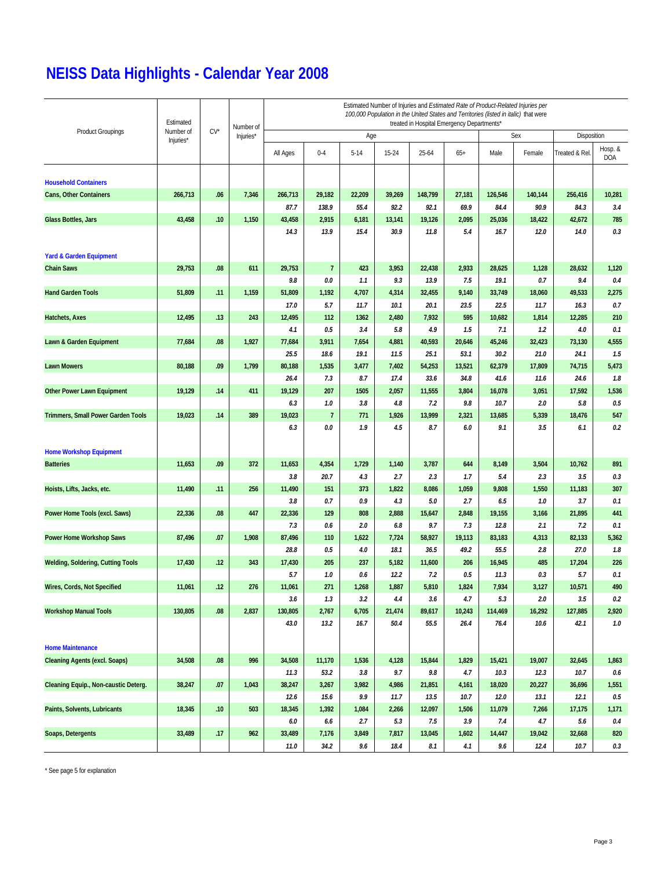|                                                                 | Estimated<br>Number of<br>Injuries* |        | Number of | Estimated Number of Injuries and Estimated Rate of Product-Related Injuries per<br>100,000 Population in the United States and Territories (listed in italic) that were<br>treated in Hospital Emergency Departments* |                  |                |                |                 |                |                 |                 |                 |                       |  |  |
|-----------------------------------------------------------------|-------------------------------------|--------|-----------|-----------------------------------------------------------------------------------------------------------------------------------------------------------------------------------------------------------------------|------------------|----------------|----------------|-----------------|----------------|-----------------|-----------------|-----------------|-----------------------|--|--|
| <b>Product Groupings</b>                                        |                                     | $CV^*$ | Injuries* |                                                                                                                                                                                                                       |                  | Age            |                |                 |                | Sex             | Disposition     |                 |                       |  |  |
|                                                                 |                                     |        |           | All Ages                                                                                                                                                                                                              | $0 - 4$          | $5 - 14$       | 15-24          | 25-64           | $65+$          | Male            | Female          | Treated & Rel.  | Hosp. &<br><b>DOA</b> |  |  |
| <b>Household Containers</b>                                     |                                     |        |           |                                                                                                                                                                                                                       |                  |                |                |                 |                |                 |                 |                 |                       |  |  |
| <b>Cans, Other Containers</b>                                   | 266,713                             | .06    | 7,346     | 266,713<br>87.7                                                                                                                                                                                                       | 29,182<br>138.9  | 22,209<br>55.4 | 39,269<br>92.2 | 148,799<br>92.1 | 27,181<br>69.9 | 126,546<br>84.4 | 140,144<br>90.9 | 256,416<br>84.3 | 10,281<br>3.4         |  |  |
| <b>Glass Bottles, Jars</b>                                      | 43,458                              | .10    | 1,150     | 43,458                                                                                                                                                                                                                | 2,915            | 6,181          | 13,141         | 19,126          | 2,095          | 25,036          | 18,422          | 42,672          | 785                   |  |  |
|                                                                 |                                     |        |           | 14.3                                                                                                                                                                                                                  | 13.9             | 15.4           | 30.9           | 11.8            | 5.4            | 16.7            | 12.0            | 14.0            | 0.3                   |  |  |
| <b>Yard &amp; Garden Equipment</b>                              |                                     |        |           |                                                                                                                                                                                                                       |                  |                |                |                 |                |                 |                 |                 |                       |  |  |
| <b>Chain Saws</b>                                               | 29,753                              | .08    | 611       | 29,753                                                                                                                                                                                                                | $\overline{7}$   | 423            | 3,953          | 22,438          | 2,933          | 28,625          | 1,128           | 28,632          | 1,120                 |  |  |
|                                                                 |                                     |        |           | 9.8                                                                                                                                                                                                                   | 0.0              | 1.1            | 9.3            | 13.9            | 7.5            | 19.1            | 0.7             | 9.4             | 0.4                   |  |  |
| <b>Hand Garden Tools</b>                                        | 51,809                              | .11    | 1,159     | 51,809                                                                                                                                                                                                                | 1,192            | 4,707          | 4,314          | 32,455          | 9,140          | 33,749          | 18,060          | 49,533          | 2,275                 |  |  |
|                                                                 |                                     |        |           | 17.0                                                                                                                                                                                                                  | 5.7              | 11.7           | 10.1           | 20.1            | 23.5           | 22.5            | 11.7            | 16.3            | 0.7                   |  |  |
| Hatchets, Axes                                                  | 12,495                              | .13    | 243       | 12,495                                                                                                                                                                                                                | 112              | 1362           | 2,480          | 7,932           | 595            | 10,682          | 1,814           | 12,285          | 210                   |  |  |
|                                                                 |                                     |        |           | 4.1                                                                                                                                                                                                                   | 0.5              | 3.4            | 5.8            | 4.9             | 1.5            | 7.1             | 1.2             | 4.0             | 0.1                   |  |  |
| Lawn & Garden Equipment                                         | 77,684                              | .08    | 1,927     | 77,684                                                                                                                                                                                                                | 3,911            | 7,654          | 4,881          | 40,593          | 20,646         | 45,246          | 32,423          | 73,130          | 4,555                 |  |  |
| <b>Lawn Mowers</b>                                              |                                     | .09    | 1,799     | 25.5<br>80,188                                                                                                                                                                                                        | 18.6             | 19.1           | 11.5<br>7,402  | 25.1<br>54,253  | 53.1<br>13,521 | 30.2<br>62,379  | 21.0<br>17,809  | 24.1<br>74,715  | 1.5<br>5,473          |  |  |
|                                                                 | 80,188                              |        |           | 26.4                                                                                                                                                                                                                  | 1,535<br>7.3     | 3,477<br>8.7   | 17.4           | 33.6            | 34.8           | 41.6            | 11.6            | 24.6            | 1.8                   |  |  |
| <b>Other Power Lawn Equipment</b>                               | 19,129                              | .14    | 411       | 19,129                                                                                                                                                                                                                | 207              | 1505           | 2,057          | 11,555          | 3,804          | 16,078          | 3,051           | 17,592          | 1,536                 |  |  |
|                                                                 |                                     |        |           | 6.3                                                                                                                                                                                                                   | 1.0              | 3.8            | 4.8            | 7.2             | 9.8            | 10.7            | 2.0             | 5.8             | $0.5\,$               |  |  |
| <b>Trimmers, Small Power Garden Tools</b>                       | 19,023                              | .14    | 389       | 19,023                                                                                                                                                                                                                | $\boldsymbol{7}$ | 771            | 1,926          | 13,999          | 2,321          | 13,685          | 5,339           | 18,476          | 547                   |  |  |
|                                                                 |                                     |        |           | 6.3                                                                                                                                                                                                                   | 0.0              | 1.9            | 4.5            | 8.7             | 6.0            | 9.1             | 3.5             | 6.1             | 0.2                   |  |  |
| <b>Home Workshop Equipment</b>                                  |                                     |        |           |                                                                                                                                                                                                                       |                  |                |                |                 |                |                 |                 |                 |                       |  |  |
| <b>Batteries</b>                                                | 11,653                              | .09    | 372       | 11,653                                                                                                                                                                                                                | 4,354            | 1,729          | 1,140          | 3,787           | 644            | 8,149           | 3,504           | 10,762<br>3.5   | 891                   |  |  |
| Hoists, Lifts, Jacks, etc.                                      | 11,490                              | .11    | 256       | 3.8<br>11,490                                                                                                                                                                                                         | 20.7<br>151      | 4.3<br>373     | 2.7<br>1,822   | 2.3<br>8,086    | 1.7<br>1,059   | 5.4<br>9,808    | 2.3<br>1,550    | 11,183          | 0.3<br>307            |  |  |
|                                                                 |                                     |        |           | 3.8                                                                                                                                                                                                                   | 0.7              | 0.9            | 4.3            | 5.0             | 2.7            | 6.5             | 1.0             | 3.7             | 0.1                   |  |  |
| Power Home Tools (excl. Saws)                                   | 22,336                              | .08    | 447       | 22,336                                                                                                                                                                                                                | 129              | 808            | 2,888          | 15,647          | 2,848          | 19,155          | 3,166           | 21,895          | 441                   |  |  |
|                                                                 |                                     |        |           | 7.3                                                                                                                                                                                                                   | 0.6              | 2.0            | 6.8            | 9.7             | 7.3            | 12.8            | 2.1             | 7.2             | 0.1                   |  |  |
| <b>Power Home Workshop Saws</b>                                 | 87,496                              | .07    | 1,908     | 87,496                                                                                                                                                                                                                | 110              | 1,622          | 7,724          | 58,927          | 19,113         | 83,183          | 4,313           | 82,133          | 5,362                 |  |  |
|                                                                 |                                     |        |           | 28.8                                                                                                                                                                                                                  | 0.5              | 4.0            | 18.1           | 36.5            | 49.2           | 55.5            | 2.8             | 27.0            | 1.8                   |  |  |
| <b>Welding, Soldering, Cutting Tools</b>                        | 17,430                              | .12    | 343       | 17,430                                                                                                                                                                                                                | 205              | 237            | 5,182          | 11,600          | 206            | 16,945          | 485             | 17,204          | 226                   |  |  |
|                                                                 |                                     |        |           | 5.7                                                                                                                                                                                                                   | 1.0              | 0.6            | 12.2           | 7.2             | 0.5            | 11.3            | 0.3             | 5.7             | 0.1                   |  |  |
| Wires, Cords, Not Specified                                     | 11,061                              | .12    | 276       | 11,061                                                                                                                                                                                                                | 271              | 1,268          | 1,887          | 5,810           | 1,824          | 7,934           | 3,127           | 10,571          | 490                   |  |  |
|                                                                 |                                     |        |           | 3.6                                                                                                                                                                                                                   | 1.3              | 3.2            | 4.4            | 3.6             | 4.7            | 5.3             | 2.0             | 3.5             | 0.2                   |  |  |
| <b>Workshop Manual Tools</b>                                    | 130,805                             | .08    | 2,837     | 130,805                                                                                                                                                                                                               | 2,767            | 6,705          | 21,474         | 89,617          | 10,243         | 114,469         | 16,292          | 127,885         | 2,920                 |  |  |
|                                                                 |                                     |        |           | 43.0                                                                                                                                                                                                                  | 13.2             | 16.7           | 50.4           | 55.5            | 26.4           | 76.4            | 10.6            | 42.1            | 1.0                   |  |  |
| <b>Home Maintenance</b><br><b>Cleaning Agents (excl. Soaps)</b> | 34,508                              | .08    | 996       | 34,508                                                                                                                                                                                                                | 11,170           | 1,536          | 4,128          | 15,844          | 1,829          | 15,421          | 19,007          | 32,645          | 1,863                 |  |  |
|                                                                 |                                     |        |           | 11.3                                                                                                                                                                                                                  | 53.2             | $3.8\,$        | 9.7            | 9.8             | 4.7            | 10.3            | 12.3            | 10.7            | 0.6                   |  |  |
| Cleaning Equip., Non-caustic Deterg.                            | 38,247                              | .07    | 1,043     | 38,247                                                                                                                                                                                                                | 3,267            | 3,982          | 4,986          | 21,851          | 4,161          | 18,020          | 20,227          | 36,696          | 1,551                 |  |  |
|                                                                 |                                     |        |           | 12.6                                                                                                                                                                                                                  | 15.6             | 9.9            | 11.7           | 13.5            | 10.7           | 12.0            | 13.1            | 12.1            | $0.5\,$               |  |  |
| Paints, Solvents, Lubricants                                    | 18,345                              | .10    | 503       | 18,345                                                                                                                                                                                                                | 1,392            | 1,084          | 2,266          | 12,097          | 1,506          | 11,079          | 7,266           | 17,175          | 1,171                 |  |  |
|                                                                 |                                     |        |           | 6.0                                                                                                                                                                                                                   | 6.6              | 2.7            | 5.3            | 7.5             | 3.9            | 7.4             | 4.7             | 5.6             | 0.4                   |  |  |
| Soaps, Detergents                                               | 33,489                              | .17    | 962       | 33,489                                                                                                                                                                                                                | 7,176            | 3,849          | 7,817          | 13,045          | 1,602          | 14,447          | 19,042          | 32,668          | 820                   |  |  |
|                                                                 |                                     |        |           | 11.0                                                                                                                                                                                                                  | 34.2             | 9.6            | 18.4           | 8.1             | 4.1            | 9.6             | 12.4            | 10.7            | 0.3                   |  |  |

\* See page 5 for explanation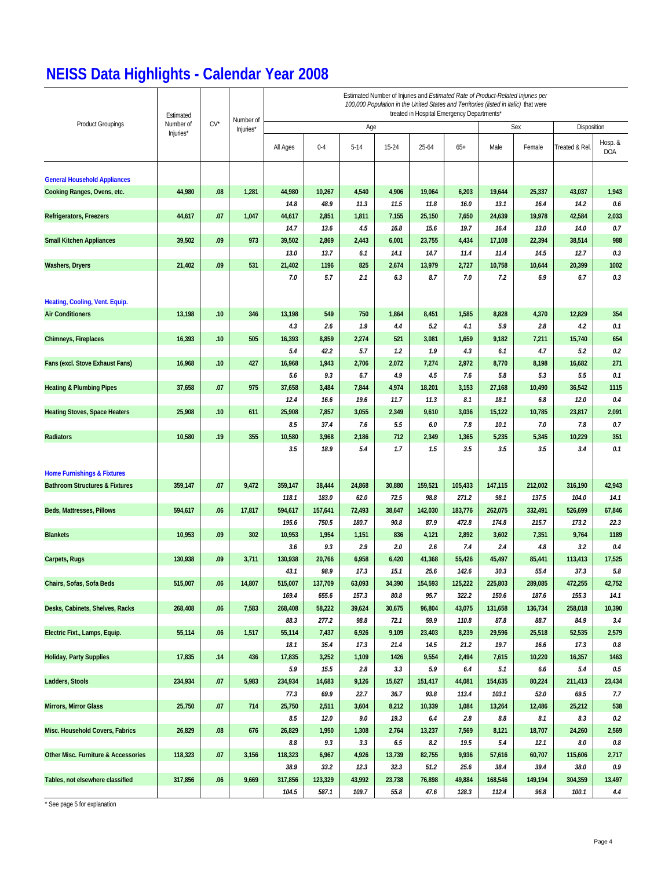|                                                |                        |        |           | Estimated Number of Injuries and Estimated Rate of Product-Related Injuries per<br>100,000 Population in the United States and Territories (listed in italic) that were |               |               |               |                                            |              |                |               |                |                 |  |  |
|------------------------------------------------|------------------------|--------|-----------|-------------------------------------------------------------------------------------------------------------------------------------------------------------------------|---------------|---------------|---------------|--------------------------------------------|--------------|----------------|---------------|----------------|-----------------|--|--|
|                                                | Estimated              |        | Number of |                                                                                                                                                                         |               |               |               | treated in Hospital Emergency Departments* |              |                |               |                |                 |  |  |
| <b>Product Groupings</b>                       | Number of<br>Injuries* | $CV^*$ | Injuries* |                                                                                                                                                                         |               | Age           |               |                                            |              |                | Sex           | Disposition    |                 |  |  |
|                                                |                        |        |           | All Ages                                                                                                                                                                | $0 - 4$       | $5 - 14$      | $15 - 24$     | $25 - 64$                                  | $65+$        | Male           | Female        | Treated & Rel. | Hosp. &<br>DOA  |  |  |
| <b>General Household Appliances</b>            |                        |        |           |                                                                                                                                                                         |               |               |               |                                            |              |                |               |                |                 |  |  |
| Cooking Ranges, Ovens, etc.                    | 44,980                 | .08    | 1,281     | 44,980                                                                                                                                                                  | 10,267        | 4,540         | 4,906         | 19,064                                     | 6,203        | 19,644         | 25,337        | 43,037         | 1,943           |  |  |
|                                                |                        |        |           | 14.8                                                                                                                                                                    | 48.9          | 11.3          | 11.5          | 11.8                                       | 16.0         | 13.1           | 16.4          | 14.2           | 0.6             |  |  |
| <b>Refrigerators, Freezers</b>                 | 44,617                 | .07    | 1,047     | 44,617                                                                                                                                                                  | 2,851         | 1,811         | 7,155         | 25,150                                     | 7,650        | 24,639         | 19,978        | 42,584         | 2,033           |  |  |
|                                                |                        |        |           | 14.7                                                                                                                                                                    | 13.6          | 4.5           | 16.8          | 15.6                                       | 19.7         | 16.4           | 13.0          | 14.0           | 0.7             |  |  |
| <b>Small Kitchen Appliances</b>                | 39,502                 | .09    | 973       | 39,502                                                                                                                                                                  | 2,869         | 2,443         | 6,001         | 23,755                                     | 4,434        | 17,108         | 22,394        | 38,514         | 988             |  |  |
|                                                |                        |        | 531       | 13.0<br>21,402                                                                                                                                                          | 13.7          | 6.1           | 14.1          | 14.7<br>13,979                             | 11.4         | 11.4           | 14.5          | 12.7           | 0.3             |  |  |
| <b>Washers, Dryers</b>                         | 21,402                 | .09    |           | 7.0                                                                                                                                                                     | 1196<br>5.7   | 825<br>2.1    | 2,674<br>6.3  | 8.7                                        | 2,727<br>7.0 | 10,758<br>7.2  | 10,644<br>6.9 | 20,399<br>6.7  | 1002<br>0.3     |  |  |
|                                                |                        |        |           |                                                                                                                                                                         |               |               |               |                                            |              |                |               |                |                 |  |  |
| Heating, Cooling, Vent. Equip.                 |                        |        |           |                                                                                                                                                                         |               |               |               |                                            |              |                |               |                |                 |  |  |
| <b>Air Conditioners</b>                        | 13,198                 | .10    | 346       | 13,198                                                                                                                                                                  | 549           | 750           | 1,864         | 8,451                                      | 1,585        | 8,828          | 4,370         | 12,829         | 354             |  |  |
|                                                |                        |        |           | 4.3                                                                                                                                                                     | 2.6           | 1.9           | 4.4           | 5.2                                        | 4.1          | 5.9            | 2.8           | 4.2            | 0.1             |  |  |
| <b>Chimneys, Fireplaces</b>                    | 16,393                 | .10    | 505       | 16,393                                                                                                                                                                  | 8,859         | 2,274         | 521           | 3,081                                      | 1,659        | 9,182          | 7,211         | 15,740         | 654             |  |  |
|                                                |                        |        |           | 5.4                                                                                                                                                                     | 42.2          | 5.7           | 1.2           | 1.9                                        | 4.3          | 6.1            | 4.7           | 5.2            | 0.2             |  |  |
| Fans (excl. Stove Exhaust Fans)                | 16,968                 | .10    | 427       | 16,968                                                                                                                                                                  | 1,943         | 2,706         | 2,072         | 7,274                                      | 2,972        | 8,770          | 8,198         | 16,682         | 271             |  |  |
|                                                |                        |        |           | 5.6                                                                                                                                                                     | 9.3           | 6.7           | 4.9           | 4.5                                        | 7.6          | 5.8            | 5.3           | 5.5            | 0.1             |  |  |
| <b>Heating &amp; Plumbing Pipes</b>            | 37,658                 | .07    | 975       | 37,658                                                                                                                                                                  | 3,484         | 7,844         | 4,974         | 18,201                                     | 3,153        | 27,168         | 10,490        | 36,542         | 1115<br>0.4     |  |  |
| <b>Heating Stoves, Space Heaters</b>           | 25,908                 | .10    | 611       | 12.4<br>25,908                                                                                                                                                          | 16.6<br>7,857 | 19.6<br>3,055 | 11.7<br>2,349 | 11.3<br>9,610                              | 8.1<br>3,036 | 18.1<br>15,122 | 6.8<br>10,785 | 12.0<br>23,817 | 2,091           |  |  |
|                                                |                        |        |           | 8.5                                                                                                                                                                     | 37.4          | 7.6           | 5.5           | 6.0                                        | 7.8          | 10.1           | 7.0           | 7.8            | 0.7             |  |  |
| <b>Radiators</b>                               | 10,580                 | .19    | 355       | 10,580                                                                                                                                                                  | 3,968         | 2,186         | 712           | 2,349                                      | 1,365        | 5,235          | 5,345         | 10,229         | 351             |  |  |
|                                                |                        |        |           | 3.5                                                                                                                                                                     | 18.9          | 5.4           | 1.7           | 1.5                                        | 3.5          | 3.5            | 3.5           | 3.4            | 0.1             |  |  |
|                                                |                        |        |           |                                                                                                                                                                         |               |               |               |                                            |              |                |               |                |                 |  |  |
| <b>Home Furnishings &amp; Fixtures</b>         |                        |        |           |                                                                                                                                                                         |               |               |               |                                            |              |                |               |                |                 |  |  |
| <b>Bathroom Structures &amp; Fixtures</b>      | 359,147                | .07    | 9,472     | 359,147                                                                                                                                                                 | 38,444        | 24,868        | 30,880        | 159,521                                    | 105,433      | 147,115        | 212,002       | 316,190        | 42,943          |  |  |
|                                                |                        |        |           | 118.1                                                                                                                                                                   | 183.0         | 62.0          | 72.5          | 98.8                                       | 271.2        | 98.1           | 137.5         | 104.0          | 14.1            |  |  |
| Beds, Mattresses, Pillows                      | 594,617                | .06    | 17,817    | 594,617                                                                                                                                                                 | 157,641       | 72,493        | 38,647        | 142,030                                    | 183,776      | 262,075        | 332,491       | 526,699        | 67,846          |  |  |
|                                                |                        |        |           | 195.6                                                                                                                                                                   | 750.5         | 180.7         | 90.8          | 87.9                                       | 472.8        | 174.8          | 215.7         | 173.2          | 22.3            |  |  |
| <b>Blankets</b>                                | 10,953                 | .09    | 302       | 10,953<br>3.6                                                                                                                                                           | 1,954<br>9.3  | 1,151<br>2.9  | 836<br>2.0    | 4,121<br>2.6                               | 2,892<br>7.4 | 3,602<br>2.4   | 7,351<br>4.8  | 9,764<br>3.2   | 1189<br>0.4     |  |  |
| Carpets, Rugs                                  | 130,938                | .09    | 3,711     | 130,938                                                                                                                                                                 | 20,766        | 6,958         | 6,420         | 41,368                                     | 55,426       | 45,497         | 85,441        | 113,413        | 17,525          |  |  |
|                                                |                        |        |           | 43.1                                                                                                                                                                    | 98.9          | 17.3          | 15.1          | 25.6                                       | 142.6        | 30.3           | 55.4          | 37.3           | $5.8\,$         |  |  |
| Chairs, Sofas, Sofa Beds                       | 515,007                | .06    | 14,807    | 515.007                                                                                                                                                                 | 137,709       | 63,093        | 34,390        | 154,593                                    | 125.222      | 225.803        | 289.085       | 472.255        | 42,752          |  |  |
|                                                |                        |        |           | 169.4                                                                                                                                                                   | 655.6         | 157.3         | 80.8          | 95.7                                       | 322.2        | 150.6          | 187.6         | 155.3          | 14.1            |  |  |
| Desks, Cabinets, Shelves, Racks                | 268,408                | .06    | 7,583     | 268,408                                                                                                                                                                 | 58,222        | 39,624        | 30,675        | 96,804                                     | 43,075       | 131,658        | 136,734       | 258,018        | 10,390          |  |  |
|                                                |                        |        |           | 88.3                                                                                                                                                                    | 277.2         | 98.8          | 72.1          | 59.9                                       | 110.8        | 87.8           | 88.7          | 84.9           | 3.4             |  |  |
| Electric Fixt., Lamps, Equip.                  | 55,114                 | .06    | 1,517     | 55,114                                                                                                                                                                  | 7,437         | 6,926         | 9,109         | 23,403                                     | 8,239        | 29,596         | 25,518        | 52,535         | 2,579           |  |  |
|                                                |                        |        |           | 18.1                                                                                                                                                                    | 35.4          | 17.3          | 21.4          | 14.5                                       | 21.2         | 19.7           | 16.6          | 17.3           | 0.8             |  |  |
| <b>Holiday, Party Supplies</b>                 | 17,835                 | .14    | 436       | 17,835<br>5.9                                                                                                                                                           | 3,252<br>15.5 | 1,109<br>2.8  | 1426<br>3.3   | 9,554<br>5.9                               | 2,494<br>6.4 | 7,615<br>5.1   | 10,220<br>6.6 | 16,357<br>5.4  | 1463<br>$0.5\,$ |  |  |
| <b>Ladders, Stools</b>                         | 234,934                | .07    | 5,983     | 234,934                                                                                                                                                                 | 14,683        | 9,126         | 15,627        | 151,417                                    | 44,081       | 154,635        | 80,224        | 211,413        | 23,434          |  |  |
|                                                |                        |        |           | 77.3                                                                                                                                                                    | 69.9          | 22.7          | 36.7          | 93.8                                       | 113.4        | 103.1          | 52.0          | 69.5           | 7.7             |  |  |
| <b>Mirrors, Mirror Glass</b>                   | 25,750                 | .07    | 714       | 25,750                                                                                                                                                                  | 2,511         | 3,604         | 8,212         | 10,339                                     | 1,084        | 13,264         | 12,486        | 25,212         | 538             |  |  |
|                                                |                        |        |           | 8.5                                                                                                                                                                     | 12.0          | 9.0           | 19.3          | 6.4                                        | 2.8          | 8.8            | 8.1           | 8.3            | 0.2             |  |  |
| Misc. Household Covers, Fabrics                | 26,829                 | .08    | 676       | 26,829                                                                                                                                                                  | 1,950         | 1,308         | 2,764         | 13,237                                     | 7,569        | 8,121          | 18,707        | 24,260         | 2,569           |  |  |
|                                                |                        |        |           | 8.8                                                                                                                                                                     | 9.3           | 3.3           | 6.5           | 8.2                                        | 19.5         | 5.4            | 12.1          | 8.0            | 0.8             |  |  |
| <b>Other Misc. Furniture &amp; Accessories</b> | 118,323                | .07    | 3,156     | 118,323                                                                                                                                                                 | 6,967         | 4,926         | 13,739        | 82,755                                     | 9,936        | 57,616         | 60,707        | 115,606        | 2,717           |  |  |
|                                                |                        |        |           | 38.9                                                                                                                                                                    | 33.2          | 12.3          | 32.3          | 51.2                                       | 25.6         | 38.4           | 39.4          | 38.0           | 0.9             |  |  |
| Tables, not elsewhere classified               | 317,856                | .06    | 9,669     | 317,856                                                                                                                                                                 | 123,329       | 43,992        | 23,738        | 76,898                                     | 49,884       | 168,546        | 149,194       | 304,359        | 13,497          |  |  |
|                                                |                        |        |           | 104.5                                                                                                                                                                   | 587.1         | 109.7         | 55.8          | 47.6                                       | 128.3        | 112.4          | 96.8          | 100.1          | 4.4             |  |  |

\* See page 5 for explanation